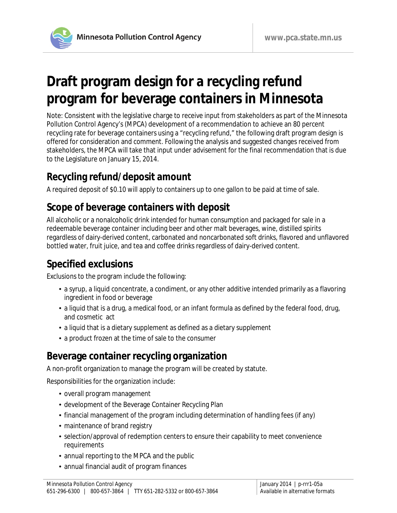

# **Draft program design for a recycling refund program for beverage containers in Minnesota**

Note: Consistent with the legislative charge to receive input from stakeholders as part of the Minnesota Pollution Control Agency's (MPCA) development of a recommendation to achieve an 80 percent recycling rate for beverage containers using a "recycling refund," the following draft program design is offered for consideration and comment. Following the analysis and suggested changes received from stakeholders, the MPCA will take that input under advisement for the final recommendation that is due to the Legislature on January 15, 2014.

#### **Recycling refund/deposit amount**

A required deposit of \$0.10 will apply to containers up to one gallon to be paid at time of sale.

#### **Scope of beverage containers with deposit**

All alcoholic or a nonalcoholic drink intended for human consumption and packaged for sale in a redeemable beverage container including beer and other malt beverages, wine, distilled spirits regardless of dairy-derived content, carbonated and noncarbonated soft drinks, flavored and unflavored bottled water, fruit juice, and tea and coffee drinks regardless of dairy-derived content.

## **Specified exclusions**

Exclusions to the program include the following:

- a syrup, a liquid concentrate, a condiment, or any other additive intended primarily as a flavoring ingredient in food or beverage
- a liquid that is a drug, a medical food, or an infant formula as defined by the federal food, drug, and cosmetic act
- a liquid that is a dietary supplement as defined as a dietary supplement
- a product frozen at the time of sale to the consumer

## **Beverage container recycling organization**

A non-profit organization to manage the program will be created by statute.

Responsibilities for the organization include:

- overall program management
- development of the Beverage Container Recycling Plan
- financial management of the program including determination of handling fees (if any)
- maintenance of brand registry
- selection/approval of redemption centers to ensure their capability to meet convenience requirements
- annual reporting to the MPCA and the public
- annual financial audit of program finances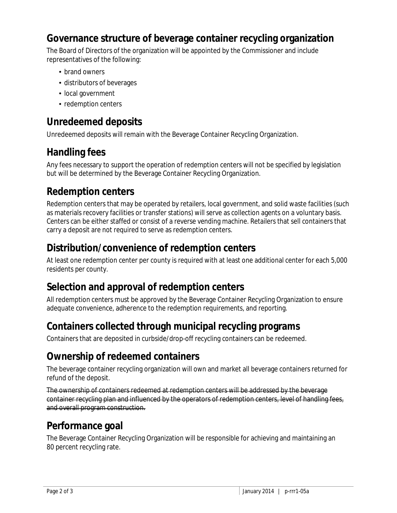#### **Governance structure of beverage container recycling organization**

The Board of Directors of the organization will be appointed by the Commissioner and include representatives of the following:

- brand owners
- distributors of beverages
- local government
- redemption centers

## **Unredeemed deposits**

Unredeemed deposits will remain with the Beverage Container Recycling Organization.

## **Handling fees**

Any fees necessary to support the operation of redemption centers will not be specified by legislation but will be determined by the Beverage Container Recycling Organization.

#### **Redemption centers**

Redemption centers that may be operated by retailers, local government, and solid waste facilities (such as materials recovery facilities or transfer stations) will serve as collection agents on a voluntary basis. Centers can be either staffed or consist of a reverse vending machine. Retailers that sell containers that carry a deposit are not required to serve as redemption centers.

#### **Distribution/convenience of redemption centers**

At least one redemption center per county is required with at least one additional center for each 5,000 residents per county.

#### **Selection and approval of redemption centers**

All redemption centers must be approved by the Beverage Container Recycling Organization to ensure adequate convenience, adherence to the redemption requirements, and reporting.

## **Containers collected through municipal recycling programs**

Containers that are deposited in curbside/drop-off recycling containers can be redeemed.

## **Ownership of redeemed containers**

The beverage container recycling organization will own and market all beverage containers returned for refund of the deposit.

The ownership of containers redeemed at redemption centers will be addressed by the beverage container recycling plan and influenced by the operators of redemption centers, level of handling fees, and overall program construction.

#### **Performance goal**

The Beverage Container Recycling Organization will be responsible for achieving and maintaining an 80 percent recycling rate.